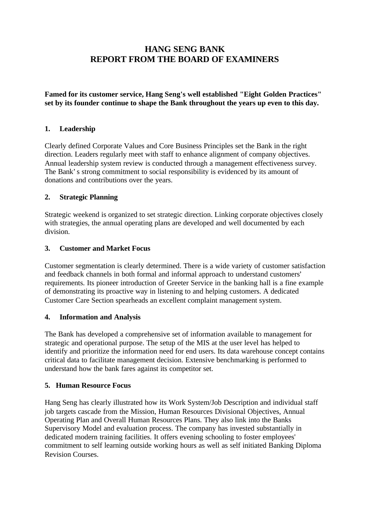# **HANG SENG BANK REPORT FROM THE BOARD OF EXAMINERS**

**Famed for its customer service, Hang Seng's well established "Eight Golden Practices" set by its founder continue to shape the Bank throughout the years up even to this day.**

# **1. Leadership**

Clearly defined Corporate Values and Core Business Principles set the Bank in the right direction. Leaders regularly meet with staff to enhance alignment of company objectives. Annual leadership system review is conducted through a management effectiveness survey. The Bank's strong commitment to social responsibility is evidenced by its amount of donations and contributions over the years.

# **2. Strategic Planning**

Strategic weekend is organized to set strategic direction. Linking corporate objectives closely with strategies, the annual operating plans are developed and well documented by each division.

# **3. Customer and Market Focus**

Customer segmentation is clearly determined. There is a wide variety of customer satisfaction and feedback channels in both formal and informal approach to understand customers' requirements. Its pioneer introduction of Greeter Service in the banking hall is a fine example of demonstrating its proactive way in listening to and helping customers. A dedicated Customer Care Section spearheads an excellent complaint management system.

#### **4. Information and Analysis**

The Bank has developed a comprehensive set of information available to management for strategic and operational purpose. The setup of the MIS at the user level has helped to identify and prioritize the information need for end users. Its data warehouse concept contains critical data to facilitate management decision. Extensive benchmarking is performed to understand how the bank fares against its competitor set.

# **5. Human Resource Focus**

Hang Seng has clearly illustrated how its Work System/Job Description and individual staff job targets cascade from the Mission, Human Resources Divisional Objectives, Annual Operating Plan and Overall Human Resources Plans. They also link into the Banks Supervisory Model and evaluation process. The company has invested substantially in dedicated modern training facilities. It offers evening schooling to foster employees' commitment to self learning outside working hours as well as self initiated Banking Diploma Revision Courses.